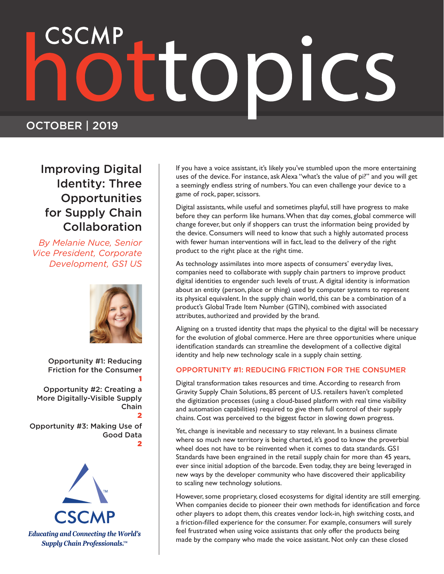# 

## OCTOBER | 2019

## Improving Digital Identity: Three **Opportunities** for Supply Chain Collaboration

*By Melanie Nuce, Senior Vice President, Corporate Development, GS1 US* 



1

Opportunity #1: Reducing Friction for the Consumer

Opportunity #2: Creating a More Digitally-Visible Supply Chain 2

Opportunity #3: Making Use of Good Data 2



If you have a voice assistant, it's likely you've stumbled upon the more entertaining uses of the device. For instance, ask Alexa "what's the value of pi?" and you will get a seemingly endless string of numbers. You can even challenge your device to a game of rock, paper, scissors.

Digital assistants, while useful and sometimes playful, still have progress to make before they can perform like humans. When that day comes, global commerce will change forever, but only if shoppers can trust the information being provided by the device. Consumers will need to know that such a highly automated process with fewer human interventions will in fact, lead to the delivery of the right product to the right place at the right time.

As technology assimilates into more aspects of consumers' everyday lives, companies need to collaborate with supply chain partners to improve product digital identities to engender such levels of trust. A digital identity is information about an entity (person, place or thing) used by computer systems to represent its physical equivalent. In the supply chain world, this can be a combination of a product's Global Trade Item Number (GTIN), combined with associated attributes, authorized and provided by the brand.

Aligning on a trusted identity that maps the physical to the digital will be necessary for the evolution of global commerce. Here are three opportunities where unique identification standards can streamline the development of a collective digital identity and help new technology scale in a supply chain setting.

## OPPORTUNITY #1: REDUCING FRICTION FOR THE CONSUMER

Digital transformation takes resources and time. According to research from Gravity Supply Chain Solutions, 85 percent of U.S. retailers haven't completed the digitization processes (using a cloud-based platform with real time visibility and automation capabilities) required to give them full control of their supply chains. Cost was perceived to the biggest factor in slowing down progress.

Yet, change is inevitable and necessary to stay relevant. In a business climate where so much new territory is being charted, it's good to know the proverbial wheel does not have to be reinvented when it comes to data standards. GS1 Standards have been engrained in the retail supply chain for more than 45 years, ever since initial adoption of the barcode. Even today, they are being leveraged in new ways by the developer community who have discovered their applicability to scaling new technology solutions.

However, some proprietary, closed ecosystems for digital identity are still emerging. When companies decide to pioneer their own methods for identification and force other players to adopt them, this creates vendor lock-in, high switching costs, and a friction-filled experience for the consumer. For example, consumers will surely feel frustrated when using voice assistants that only offer the products being made by the company who made the voice assistant. Not only can these closed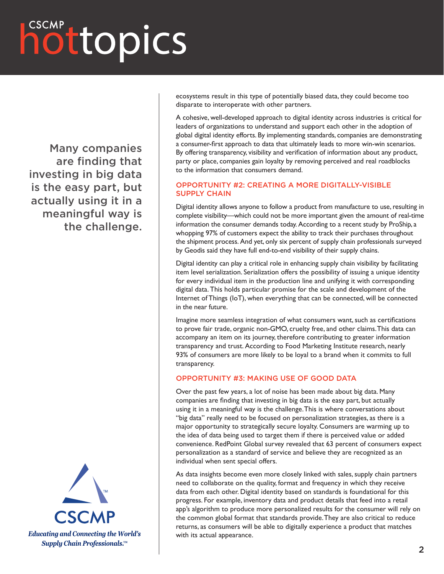## hottopics

Many companies are finding that investing in big data is the easy part, but actually using it in a meaningful way is the challenge.



ecosystems result in this type of potentially biased data, they could become too disparate to interoperate with other partners.

A cohesive, well-developed approach to digital identity across industries is critical for leaders of organizations to understand and support each other in the adoption of global digital identity efforts. By implementing standards, companies are demonstrating a consumer-first approach to data that ultimately leads to more win-win scenarios. By offering transparency, visibility and verification of information about any product, party or place, companies gain loyalty by removing perceived and real roadblocks to the information that consumers demand.

## OPPORTUNITY #2: CREATING A MORE DIGITALLY-VISIBLE SUPPLY CHAIN

Digital identity allows anyone to follow a product from manufacture to use, resulting in complete visibility—which could not be more important given the amount of real-time information the consumer demands today. According to a recent study by ProShip, a whopping 97% of customers expect the ability to track their purchases throughout the shipment process. And yet, only six percent of supply chain professionals surveyed by Geodis said they have full end-to-end visibility of their supply chains.

Digital identity can play a critical role in enhancing supply chain visibility by facilitating item level serialization. Serialization offers the possibility of issuing a unique identity for every individual item in the production line and unifying it with corresponding digital data. This holds particular promise for the scale and development of the Internet of Things (IoT), when everything that can be connected, will be connected in the near future.

Imagine more seamless integration of what consumers want, such as certifications to prove fair trade, organic non-GMO, cruelty free, and other claims. This data can accompany an item on its journey, therefore contributing to greater information transparency and trust. According to Food Marketing Institute research, nearly 93% of consumers are more likely to be loyal to a brand when it commits to full transparency.

## OPPORTUNITY #3: MAKING USE OF GOOD DATA

Over the past few years, a lot of noise has been made about big data. Many companies are finding that investing in big data is the easy part, but actually using it in a meaningful way is the challenge. This is where conversations about "big data" really need to be focused on personalization strategies, as there is a major opportunity to strategically secure loyalty. Consumers are warming up to the idea of data being used to target them if there is perceived value or added convenience. RedPoint Global survey revealed that 63 percent of consumers expect personalization as a standard of service and believe they are recognized as an individual when sent special offers.

As data insights become even more closely linked with sales, supply chain partners need to collaborate on the quality, format and frequency in which they receive data from each other. Digital identity based on standards is foundational for this progress. For example, inventory data and product details that feed into a retail app's algorithm to produce more personalized results for the consumer will rely on the common global format that standards provide. They are also critical to reduce returns, as consumers will be able to digitally experience a product that matches